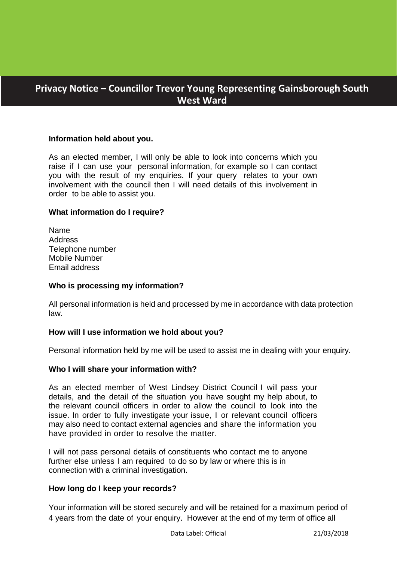# **Privacy Notice – Councillor Trevor Young Representing Gainsborough South West Ward**

## **Information held about you.**

As an elected member, I will only be able to look into concerns which you raise if I can use your personal information, for example so I can contact you with the result of my enquiries. If your query relates to your own involvement with the council then I will need details of this involvement in order to be able to assist you.

#### **What information do I require?**

Name **Address** Telephone number Mobile Number Email address

#### **Who is processing my information?**

All personal information is held and processed by me in accordance with data protection law.

#### **How will I use information we hold about you?**

Personal information held by me will be used to assist me in dealing with your enquiry.

#### **Who I will share your information with?**

As an elected member of West Lindsey District Council I will pass your details, and the detail of the situation you have sought my help about, to the relevant council officers in order to allow the council to look into the issue. In order to fully investigate your issue, I or relevant council officers may also need to contact external agencies and share the information you have provided in order to resolve the matter.

I will not pass personal details of constituents who contact me to anyone further else unless I am required to do so by law or where this is in connection with a criminal investigation.

#### **How long do I keep your records?**

Your information will be stored securely and will be retained for a maximum period of 4 years from the date of your enquiry. However at the end of my term of office all